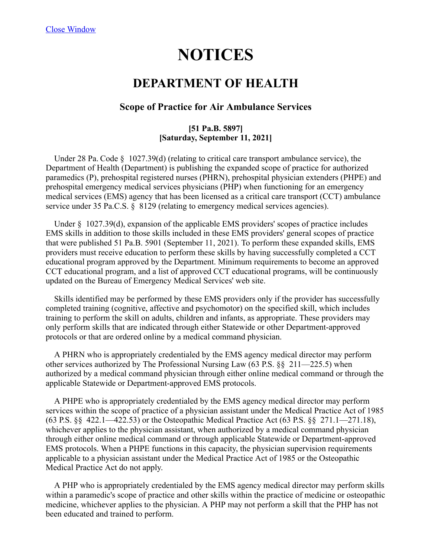# **NOTICES**

## **DEPARTMENT OF HEALTH**

### **Scope of Practice for Air Ambulance Services**

#### **[51 Pa.B. 5897] [Saturday, September 11, 2021]**

 Under 28 Pa. Code § 1027.39(d) (relating to critical care transport ambulance service), the Department of Health (Department) is publishing the expanded scope of practice for authorized paramedics (P), prehospital registered nurses (PHRN), prehospital physician extenders (PHPE) and prehospital emergency medical services physicians (PHP) when functioning for an emergency medical services (EMS) agency that has been licensed as a critical care transport (CCT) ambulance service under 35 Pa.C.S. § 8129 (relating to emergency medical services agencies).

 Under § 1027.39(d), expansion of the applicable EMS providers' scopes of practice includes EMS skills in addition to those skills included in these EMS providers' general scopes of practice that were published 51 Pa.B. 5901 (September 11, 2021). To perform these expanded skills, EMS providers must receive education to perform these skills by having successfully completed a CCT educational program approved by the Department. Minimum requirements to become an approved CCT educational program, and a list of approved CCT educational programs, will be continuously updated on the Bureau of Emergency Medical Services' web site.

 Skills identified may be performed by these EMS providers only if the provider has successfully completed training (cognitive, affective and psychomotor) on the specified skill, which includes training to perform the skill on adults, children and infants, as appropriate. These providers may only perform skills that are indicated through either Statewide or other Department-approved protocols or that are ordered online by a medical command physician.

 A PHRN who is appropriately credentialed by the EMS agency medical director may perform other services authorized by The Professional Nursing Law (63 P.S. §§ 211—225.5) when authorized by a medical command physician through either online medical command or through the applicable Statewide or Department-approved EMS protocols.

 A PHPE who is appropriately credentialed by the EMS agency medical director may perform services within the scope of practice of a physician assistant under the Medical Practice Act of 1985 (63 P.S. §§ 422.1—422.53) or the Osteopathic Medical Practice Act (63 P.S. §§ 271.1—271.18), whichever applies to the physician assistant, when authorized by a medical command physician through either online medical command or through applicable Statewide or Department-approved EMS protocols. When a PHPE functions in this capacity, the physician supervision requirements applicable to a physician assistant under the Medical Practice Act of 1985 or the Osteopathic Medical Practice Act do not apply.

 A PHP who is appropriately credentialed by the EMS agency medical director may perform skills within a paramedic's scope of practice and other skills within the practice of medicine or osteopathic medicine, whichever applies to the physician. A PHP may not perform a skill that the PHP has not been educated and trained to perform.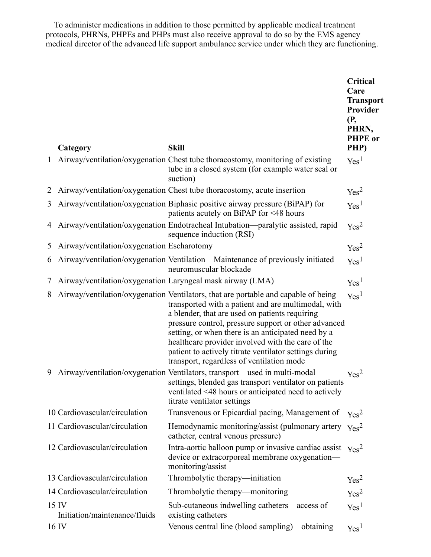To administer medications in addition to those permitted by applicable medical treatment protocols, PHRNs, PHPEs and PHPs must also receive approval to do so by the EMS agency medical director of the advanced life support ambulance service under which they are functioning.

|              | Category                                                   | <b>Skill</b>                                                                                                                                                                                                                                                                                                                                                                                                                                                          | Critical<br>Care<br><b>Transport</b><br>Provider<br>(P,<br>PHRN,<br><b>PHPE</b> or<br>PHP) |
|--------------|------------------------------------------------------------|-----------------------------------------------------------------------------------------------------------------------------------------------------------------------------------------------------------------------------------------------------------------------------------------------------------------------------------------------------------------------------------------------------------------------------------------------------------------------|--------------------------------------------------------------------------------------------|
| $\mathbf{1}$ |                                                            | Airway/ventilation/oxygenation Chest tube thoracostomy, monitoring of existing<br>tube in a closed system (for example water seal or<br>suction)                                                                                                                                                                                                                                                                                                                      | Yes <sup>1</sup>                                                                           |
| $\mathbb{Z}$ |                                                            | Airway/ventilation/oxygenation Chest tube thoracostomy, acute insertion                                                                                                                                                                                                                                                                                                                                                                                               | Yes <sup>2</sup>                                                                           |
| 3            |                                                            | Airway/ventilation/oxygenation Biphasic positive airway pressure (BiPAP) for<br>patients acutely on BiPAP for <48 hours                                                                                                                                                                                                                                                                                                                                               | Yes <sup>1</sup>                                                                           |
| 4            |                                                            | Airway/ventilation/oxygenation Endotracheal Intubation—paralytic assisted, rapid<br>sequence induction (RSI)                                                                                                                                                                                                                                                                                                                                                          | Yes <sup>2</sup>                                                                           |
| 5            | Airway/ventilation/oxygenation Escharotomy                 |                                                                                                                                                                                                                                                                                                                                                                                                                                                                       | Yes <sup>2</sup>                                                                           |
| 6            |                                                            | Airway/ventilation/oxygenation Ventilation—Maintenance of previously initiated<br>neuromuscular blockade                                                                                                                                                                                                                                                                                                                                                              | Yes <sup>1</sup>                                                                           |
| 7            | Airway/ventilation/oxygenation Laryngeal mask airway (LMA) |                                                                                                                                                                                                                                                                                                                                                                                                                                                                       | Yes <sup>1</sup>                                                                           |
| 8            |                                                            | Airway/ventilation/oxygenation Ventilators, that are portable and capable of being<br>transported with a patient and are multimodal, with<br>a blender, that are used on patients requiring<br>pressure control, pressure support or other advanced<br>setting, or when there is an anticipated need by a<br>healthcare provider involved with the care of the<br>patient to actively titrate ventilator settings during<br>transport, regardless of ventilation mode | Yes <sup>1</sup>                                                                           |
| 9            |                                                            | Airway/ventilation/oxygenation Ventilators, transport—used in multi-modal<br>settings, blended gas transport ventilator on patients<br>ventilated <48 hours or anticipated need to actively<br>titrate ventilator settings                                                                                                                                                                                                                                            | Yes <sup>2</sup>                                                                           |
|              | 10 Cardiovascular/circulation                              | Transvenous or Epicardial pacing, Management of                                                                                                                                                                                                                                                                                                                                                                                                                       | Yes <sup>2</sup>                                                                           |
|              | 11 Cardiovascular/circulation                              | Hemodynamic monitoring/assist (pulmonary artery $v_{\text{es}}^2$ )<br>catheter, central venous pressure)                                                                                                                                                                                                                                                                                                                                                             |                                                                                            |
|              | 12 Cardiovascular/circulation                              | Intra-aortic balloon pump or invasive cardiac assist $Y_{\text{es}}^2$<br>device or extracorporeal membrane oxygenation-<br>monitoring/assist                                                                                                                                                                                                                                                                                                                         |                                                                                            |
|              | 13 Cardiovascular/circulation                              | Thrombolytic therapy—initiation                                                                                                                                                                                                                                                                                                                                                                                                                                       | Yes <sup>2</sup>                                                                           |
|              | 14 Cardiovascular/circulation                              | Thrombolytic therapy—monitoring                                                                                                                                                                                                                                                                                                                                                                                                                                       | Yes <sup>2</sup>                                                                           |
|              | 15 <sub>IV</sub><br>Initiation/maintenance/fluids          | Sub-cutaneous indwelling catheters—access of<br>existing catheters                                                                                                                                                                                                                                                                                                                                                                                                    | Yes <sup>1</sup>                                                                           |
|              | 16 IV                                                      | Venous central line (blood sampling)—obtaining                                                                                                                                                                                                                                                                                                                                                                                                                        | Yes <sup>1</sup>                                                                           |